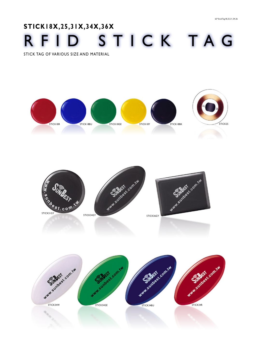## **STICK18X,25,31X,34X,36X** RFID STICK T A G

STICK TAG OF VARIOUS SIZE AND MATERIAL